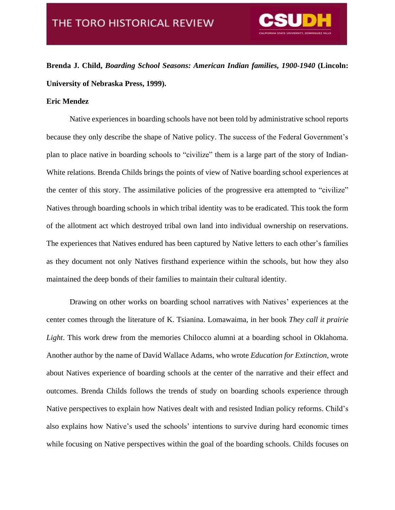

**Brenda J. Child,** *Boarding School Seasons: American Indian families, 1900-1940* **(Lincoln: University of Nebraska Press, 1999).**

## **Eric Mendez**

Native experiences in boarding schools have not been told by administrative school reports because they only describe the shape of Native policy. The success of the Federal Government's plan to place native in boarding schools to "civilize" them is a large part of the story of Indian-White relations. Brenda Childs brings the points of view of Native boarding school experiences at the center of this story. The assimilative policies of the progressive era attempted to "civilize" Natives through boarding schools in which tribal identity was to be eradicated. This took the form of the allotment act which destroyed tribal own land into individual ownership on reservations. The experiences that Natives endured has been captured by Native letters to each other's families as they document not only Natives firsthand experience within the schools, but how they also maintained the deep bonds of their families to maintain their cultural identity.

Drawing on other works on boarding school narratives with Natives' experiences at the center comes through the literature of K. Tsianina. Lomawaima, in her book *They call it prairie Light*. This work drew from the memories Chilocco alumni at a boarding school in Oklahoma. Another author by the name of David Wallace Adams, who wrote *Education for Extinction,* wrote about Natives experience of boarding schools at the center of the narrative and their effect and outcomes. Brenda Childs follows the trends of study on boarding schools experience through Native perspectives to explain how Natives dealt with and resisted Indian policy reforms. Child's also explains how Native's used the schools' intentions to survive during hard economic times while focusing on Native perspectives within the goal of the boarding schools. Childs focuses on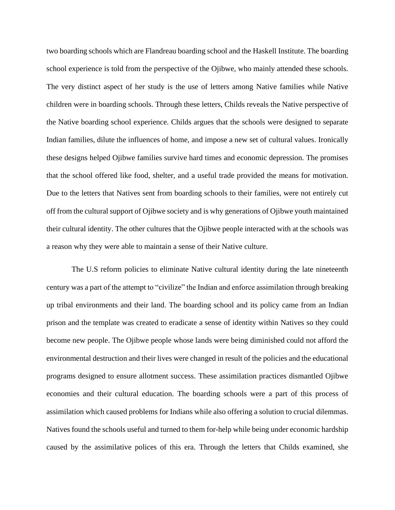two boarding schools which are Flandreau boarding school and the Haskell Institute. The boarding school experience is told from the perspective of the Ojibwe, who mainly attended these schools. The very distinct aspect of her study is the use of letters among Native families while Native children were in boarding schools. Through these letters, Childs reveals the Native perspective of the Native boarding school experience. Childs argues that the schools were designed to separate Indian families, dilute the influences of home, and impose a new set of cultural values. Ironically these designs helped Ojibwe families survive hard times and economic depression. The promises that the school offered like food, shelter, and a useful trade provided the means for motivation. Due to the letters that Natives sent from boarding schools to their families, were not entirely cut off from the cultural support of Ojibwe society and is why generations of Ojibwe youth maintained their cultural identity. The other cultures that the Ojibwe people interacted with at the schools was a reason why they were able to maintain a sense of their Native culture.

The U.S reform policies to eliminate Native cultural identity during the late nineteenth century was a part of the attempt to "civilize" the Indian and enforce assimilation through breaking up tribal environments and their land. The boarding school and its policy came from an Indian prison and the template was created to eradicate a sense of identity within Natives so they could become new people. The Ojibwe people whose lands were being diminished could not afford the environmental destruction and their lives were changed in result of the policies and the educational programs designed to ensure allotment success. These assimilation practices dismantled Ojibwe economies and their cultural education. The boarding schools were a part of this process of assimilation which caused problems for Indians while also offering a solution to crucial dilemmas. Natives found the schools useful and turned to them for-help while being under economic hardship caused by the assimilative polices of this era. Through the letters that Childs examined, she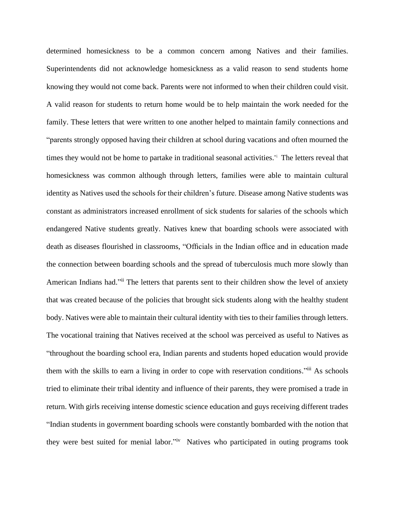determined homesickness to be a common concern among Natives and their families. Superintendents did not acknowledge homesickness as a valid reason to send students home knowing they would not come back. Parents were not informed to when their children could visit. A valid reason for students to return home would be to help maintain the work needed for the family. These letters that were written to one another helped to maintain family connections and "parents strongly opposed having their children at school during vacations and often mourned the times they would not be home to partake in traditional seasonal activities." i The letters reveal that homesickness was common although through letters, families were able to maintain cultural identity as Natives used the schools for their children's future. Disease among Native students was constant as administrators increased enrollment of sick students for salaries of the schools which endangered Native students greatly. Natives knew that boarding schools were associated with death as diseases flourished in classrooms, "Officials in the Indian office and in education made the connection between boarding schools and the spread of tuberculosis much more slowly than American Indians had."ii The letters that parents sent to their children show the level of anxiety that was created because of the policies that brought sick students along with the healthy student body. Natives were able to maintain their cultural identity with ties to their families through letters. The vocational training that Natives received at the school was perceived as useful to Natives as "throughout the boarding school era, Indian parents and students hoped education would provide them with the skills to earn a living in order to cope with reservation conditions."<sup>iii</sup> As schools tried to eliminate their tribal identity and influence of their parents, they were promised a trade in return. With girls receiving intense domestic science education and guys receiving different trades "Indian students in government boarding schools were constantly bombarded with the notion that they were best suited for menial labor."<sup>iv</sup> Natives who participated in outing programs took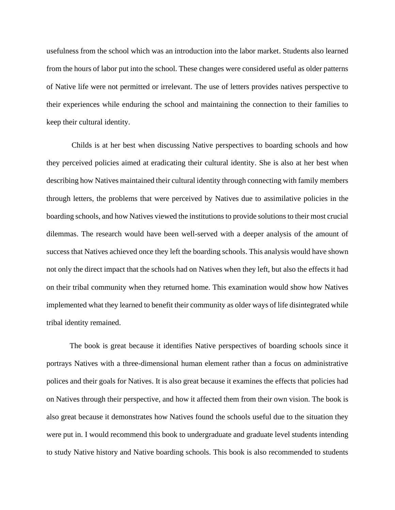usefulness from the school which was an introduction into the labor market. Students also learned from the hours of labor put into the school. These changes were considered useful as older patterns of Native life were not permitted or irrelevant. The use of letters provides natives perspective to their experiences while enduring the school and maintaining the connection to their families to keep their cultural identity.

Childs is at her best when discussing Native perspectives to boarding schools and how they perceived policies aimed at eradicating their cultural identity. She is also at her best when describing how Natives maintained their cultural identity through connecting with family members through letters, the problems that were perceived by Natives due to assimilative policies in the boarding schools, and how Natives viewed the institutions to provide solutions to their most crucial dilemmas. The research would have been well-served with a deeper analysis of the amount of success that Natives achieved once they left the boarding schools. This analysis would have shown not only the direct impact that the schools had on Natives when they left, but also the effects it had on their tribal community when they returned home. This examination would show how Natives implemented what they learned to benefit their community as older ways of life disintegrated while tribal identity remained.

The book is great because it identifies Native perspectives of boarding schools since it portrays Natives with a three-dimensional human element rather than a focus on administrative polices and their goals for Natives. It is also great because it examines the effects that policies had on Natives through their perspective, and how it affected them from their own vision. The book is also great because it demonstrates how Natives found the schools useful due to the situation they were put in. I would recommend this book to undergraduate and graduate level students intending to study Native history and Native boarding schools. This book is also recommended to students